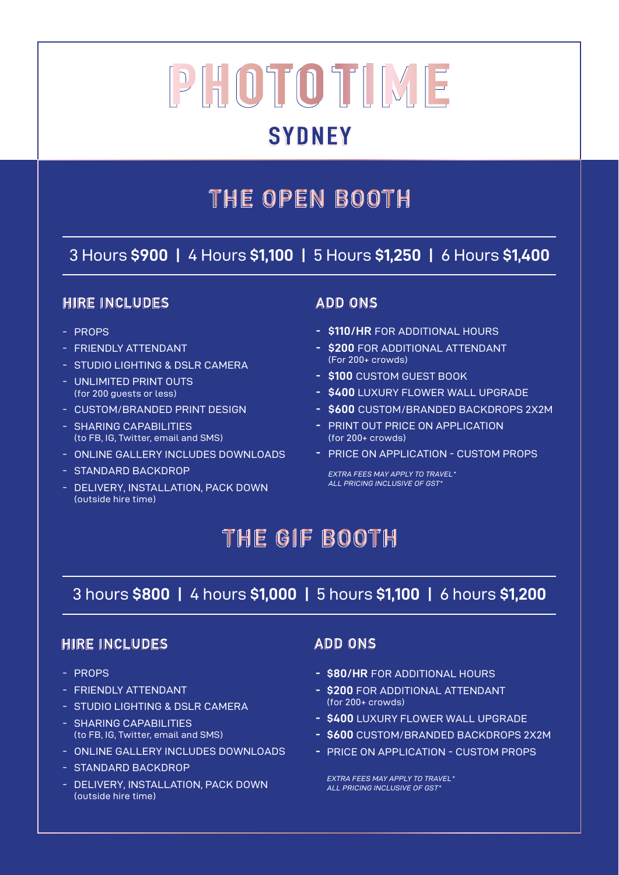# **SYDNEY**

# THE OPEN BOOTH

### 3 Hours **\$900 |** 4 Hours **\$1,100 |** 5 Hours **\$1,250 |** 6 Hours **\$1,400**

### **HIRE INCLUDES**

- PROPS
- FRIENDLY ATTENDANT
- STUDIO LIGHTING & DSLR CAMERA
- UNLIMITED PRINT OUTS (for 200 guests or less)
- CUSTOM/BRANDED PRINT DESIGN
- SHARING CAPABILITIES (to FB, IG, Twitter, email and SMS)
- ONLINE GALLERY INCLUDES DOWNLOADS
- STANDARD BACKDROP
- DELIVERY, INSTALLATION, PACK DOWN (outside hire time)

### **ADD ONS**

- **\$110/HR** FOR ADDITIONAL HOURS **-**
- **\$200** FOR ADDITIONAL ATTENDANT **-** (For 200+ crowds)
- **\$100** CUSTOM GUEST BOOK **-**
- **\$400** LUXURY FLOWER WALL UPGRADE **-**
- **\$600** CUSTOM/BRANDED BACKDROPS 2X2M **-**
- PRINT OUT PRICE ON APPLICATION (for 200+ crowds)
- PRICE ON APPLICATION CUSTOM PROPS **-**

*EXTRA FEES MAY APPLY TO TRAVEL\* ALL PRICING INCLUSIVE OF GST\**

# THE GIF BOOTH

### 3 hours **\$800 |** 4 hours **\$1,000 |** 5 hours **\$1,100 |** 6 hours **\$1,200**

#### **HIRE INCLUDES**

- PROPS
- FRIENDLY ATTENDANT
- STUDIO LIGHTING & DSLR CAMERA
- SHARING CAPABILITIES (to FB, IG, Twitter, email and SMS)
- ONLINE GALLERY INCLUDES DOWNLOADS
- STANDARD BACKDROP
- DELIVERY, INSTALLATION, PACK DOWN (outside hire time)

### **ADD ONS**

- **\$80/HR** FOR ADDITIONAL HOURS **-**
- **\$200** FOR ADDITIONAL ATTENDANT **-** (for 200+ crowds)
- **\$400** LUXURY FLOWER WALL UPGRADE **-**
- **\$600** CUSTOM/BRANDED BACKDROPS 2X2M **-**
- PRICE ON APPLICATION CUSTOM PROPS **-**

*EXTRA FEES MAY APPLY TO TRAVEL\* ALL PRICING INCLUSIVE OF GST\**